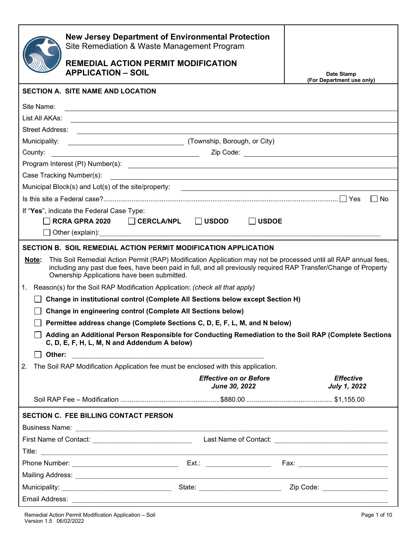|                | <b>New Jersey Department of Environmental Protection</b><br>Site Remediation & Waste Management Program                                                                                                                                                                            |                                                |                                                                                                                                                                                      |
|----------------|------------------------------------------------------------------------------------------------------------------------------------------------------------------------------------------------------------------------------------------------------------------------------------|------------------------------------------------|--------------------------------------------------------------------------------------------------------------------------------------------------------------------------------------|
|                | <b>REMEDIAL ACTION PERMIT MODIFICATION</b><br><b>APPLICATION - SOIL</b>                                                                                                                                                                                                            |                                                | Date Stamp                                                                                                                                                                           |
|                | <b>SECTION A. SITE NAME AND LOCATION</b>                                                                                                                                                                                                                                           |                                                | (For Department use only)                                                                                                                                                            |
|                |                                                                                                                                                                                                                                                                                    |                                                |                                                                                                                                                                                      |
| Site Name:     |                                                                                                                                                                                                                                                                                    |                                                |                                                                                                                                                                                      |
| List All AKAs: |                                                                                                                                                                                                                                                                                    |                                                |                                                                                                                                                                                      |
|                |                                                                                                                                                                                                                                                                                    |                                                |                                                                                                                                                                                      |
| Municipality:  | (Township, Borough, or City)                                                                                                                                                                                                                                                       |                                                |                                                                                                                                                                                      |
| County:        | <u> 1989 - Johann Stoff, fransk politik (d. 1989)</u>                                                                                                                                                                                                                              |                                                | <b>Zip Code: Community Code: Community Code: Code: Code: Code: Code: Code: Code: Code: Code: Code: Code: Code: Code: Code: Code: Code: Code: Code: Code: Code: Code: Code: Code:</b> |
|                |                                                                                                                                                                                                                                                                                    |                                                |                                                                                                                                                                                      |
|                |                                                                                                                                                                                                                                                                                    |                                                |                                                                                                                                                                                      |
|                |                                                                                                                                                                                                                                                                                    |                                                |                                                                                                                                                                                      |
|                |                                                                                                                                                                                                                                                                                    |                                                | l INo                                                                                                                                                                                |
|                | If "Yes", indicate the Federal Case Type:                                                                                                                                                                                                                                          |                                                |                                                                                                                                                                                      |
|                | RCRA GPRA 2020   CERCLA/NPL   USDOD                                                                                                                                                                                                                                                | │ <b>USDOE</b>                                 |                                                                                                                                                                                      |
|                | Other (explain): example and a series of the series of the series of the series of the series of the series of the series of the series of the series of the series of the series of the series of the series of the series of                                                     |                                                |                                                                                                                                                                                      |
|                | SECTION B. SOIL REMEDIAL ACTION PERMIT MODIFICATION APPLICATION                                                                                                                                                                                                                    |                                                |                                                                                                                                                                                      |
| Note:          | This Soil Remedial Action Permit (RAP) Modification Application may not be processed until all RAP annual fees,<br>including any past due fees, have been paid in full, and all previously required RAP Transfer/Change of Property<br>Ownership Applications have been submitted. |                                                |                                                                                                                                                                                      |
| 1.             | Reason(s) for the Soil RAP Modification Application: (check all that apply)                                                                                                                                                                                                        |                                                |                                                                                                                                                                                      |
|                | Change in institutional control (Complete All Sections below except Section H)                                                                                                                                                                                                     |                                                |                                                                                                                                                                                      |
|                | <b>Change in engineering control (Complete All Sections below)</b>                                                                                                                                                                                                                 |                                                |                                                                                                                                                                                      |
|                | Permittee address change (Complete Sections C, D, E, F, L, M, and N below)                                                                                                                                                                                                         |                                                |                                                                                                                                                                                      |
|                | Adding an Additional Person Responsible for Conducting Remediation to the Soil RAP (Complete Sections<br>C, D, E, F, H, L, M, N and Addendum A below)                                                                                                                              |                                                |                                                                                                                                                                                      |
| Other:         |                                                                                                                                                                                                                                                                                    |                                                |                                                                                                                                                                                      |
| 2.             | The Soil RAP Modification Application fee must be enclosed with this application.                                                                                                                                                                                                  |                                                |                                                                                                                                                                                      |
|                |                                                                                                                                                                                                                                                                                    | <b>Effective on or Before</b><br>June 30, 2022 | <b>Effective</b><br><b>July 1, 2022</b>                                                                                                                                              |
|                |                                                                                                                                                                                                                                                                                    |                                                |                                                                                                                                                                                      |
|                | <b>SECTION C. FEE BILLING CONTACT PERSON</b>                                                                                                                                                                                                                                       |                                                |                                                                                                                                                                                      |
|                |                                                                                                                                                                                                                                                                                    |                                                |                                                                                                                                                                                      |
|                |                                                                                                                                                                                                                                                                                    |                                                |                                                                                                                                                                                      |
|                |                                                                                                                                                                                                                                                                                    |                                                |                                                                                                                                                                                      |
|                |                                                                                                                                                                                                                                                                                    |                                                |                                                                                                                                                                                      |
|                |                                                                                                                                                                                                                                                                                    |                                                |                                                                                                                                                                                      |
|                |                                                                                                                                                                                                                                                                                    |                                                |                                                                                                                                                                                      |
|                |                                                                                                                                                                                                                                                                                    |                                                |                                                                                                                                                                                      |
|                |                                                                                                                                                                                                                                                                                    |                                                |                                                                                                                                                                                      |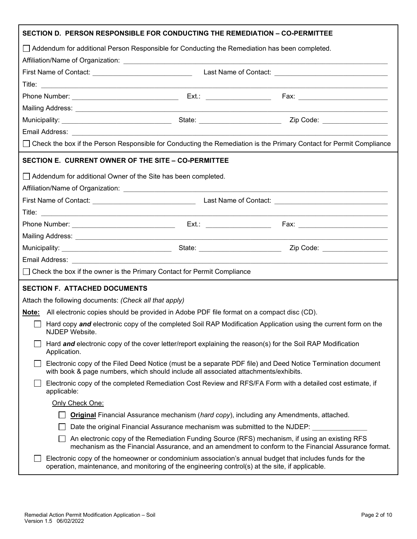| SECTION D. PERSON RESPONSIBLE FOR CONDUCTING THE REMEDIATION – CO-PERMITTEE                                                                                                                                                          |  |                                                                                                      |
|--------------------------------------------------------------------------------------------------------------------------------------------------------------------------------------------------------------------------------------|--|------------------------------------------------------------------------------------------------------|
| □ Addendum for additional Person Responsible for Conducting the Remediation has been completed.                                                                                                                                      |  |                                                                                                      |
|                                                                                                                                                                                                                                      |  |                                                                                                      |
|                                                                                                                                                                                                                                      |  |                                                                                                      |
|                                                                                                                                                                                                                                      |  |                                                                                                      |
|                                                                                                                                                                                                                                      |  |                                                                                                      |
|                                                                                                                                                                                                                                      |  |                                                                                                      |
|                                                                                                                                                                                                                                      |  |                                                                                                      |
|                                                                                                                                                                                                                                      |  |                                                                                                      |
| □ Check the box if the Person Responsible for Conducting the Remediation is the Primary Contact for Permit Compliance                                                                                                                |  |                                                                                                      |
| SECTION E. CURRENT OWNER OF THE SITE - CO-PERMITTEE                                                                                                                                                                                  |  |                                                                                                      |
| Addendum for additional Owner of the Site has been completed.                                                                                                                                                                        |  |                                                                                                      |
|                                                                                                                                                                                                                                      |  |                                                                                                      |
|                                                                                                                                                                                                                                      |  |                                                                                                      |
|                                                                                                                                                                                                                                      |  |                                                                                                      |
|                                                                                                                                                                                                                                      |  |                                                                                                      |
|                                                                                                                                                                                                                                      |  |                                                                                                      |
|                                                                                                                                                                                                                                      |  |                                                                                                      |
| Email Address: <u>New York: New York: New York: New York: New York: New York: New York: New York: New York: New York: New York: New York: New York: New York: New York: New York: New York: New York: New York: New York: New Yo</u> |  |                                                                                                      |
| □ Check the box if the owner is the Primary Contact for Permit Compliance                                                                                                                                                            |  |                                                                                                      |
| <b>SECTION F. ATTACHED DOCUMENTS</b>                                                                                                                                                                                                 |  |                                                                                                      |
| Attach the following documents: (Check all that apply)                                                                                                                                                                               |  |                                                                                                      |
| Note: All electronic copies should be provided in Adobe PDF file format on a compact disc (CD).                                                                                                                                      |  |                                                                                                      |
| Hard copy and electronic copy of the completed Soil RAP Modification Application using the current form on the<br>NJDEP Website.                                                                                                     |  |                                                                                                      |
| Hard and electronic copy of the cover letter/report explaining the reason(s) for the Soil RAP Modification<br>Application.                                                                                                           |  |                                                                                                      |
| Electronic copy of the Filed Deed Notice (must be a separate PDF file) and Deed Notice Termination document<br>with book & page numbers, which should include all associated attachments/exhibits.                                   |  |                                                                                                      |
| Electronic copy of the completed Remediation Cost Review and RFS/FA Form with a detailed cost estimate, if<br>applicable:                                                                                                            |  |                                                                                                      |
| Only Check One:                                                                                                                                                                                                                      |  |                                                                                                      |
| <b>Original</b> Financial Assurance mechanism (hard copy), including any Amendments, attached.                                                                                                                                       |  |                                                                                                      |
| Date the original Financial Assurance mechanism was submitted to the NJDEP:                                                                                                                                                          |  |                                                                                                      |
| An electronic copy of the Remediation Funding Source (RFS) mechanism, if using an existing RFS                                                                                                                                       |  | mechanism as the Financial Assurance, and an amendment to conform to the Financial Assurance format. |
| Electronic copy of the homeowner or condominium association's annual budget that includes funds for the<br>operation, maintenance, and monitoring of the engineering control(s) at the site, if applicable.                          |  |                                                                                                      |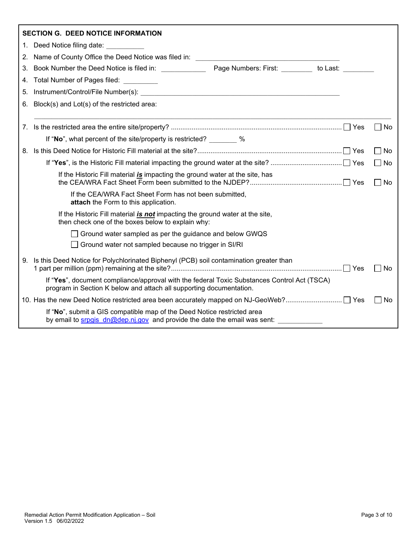|    | <b>SECTION G. DEED NOTICE INFORMATION</b>                                                                                                                          |                    |
|----|--------------------------------------------------------------------------------------------------------------------------------------------------------------------|--------------------|
| 1. | Deed Notice filing date:                                                                                                                                           |                    |
| 2. | Name of County Office the Deed Notice was filed in: _____________________________                                                                                  |                    |
| 3. | Book Number the Deed Notice is filed in: Page Numbers: First: to Last:                                                                                             |                    |
|    | 4. Total Number of Pages filed:                                                                                                                                    |                    |
|    | 5. Instrument/Control/File Number(s):                                                                                                                              |                    |
|    | 6. Block(s) and Lot(s) of the restricted area:                                                                                                                     |                    |
|    |                                                                                                                                                                    |                    |
|    |                                                                                                                                                                    | $\Box$ No          |
|    | If "No", what percent of the site/property is restricted? %                                                                                                        |                    |
|    |                                                                                                                                                                    | $\perp$<br>No      |
|    |                                                                                                                                                                    | П<br>No            |
|    | If the Historic Fill material is impacting the ground water at the site, has                                                                                       | No<br>$\Box$       |
|    | If the CEA/WRA Fact Sheet Form has not been submitted,<br>attach the Form to this application.                                                                     |                    |
|    | If the Historic Fill material is not impacting the ground water at the site,<br>then check one of the boxes below to explain why:                                  |                    |
|    | Ground water sampled as per the guidance and below GWQS                                                                                                            |                    |
|    | Ground water not sampled because no trigger in SI/RI                                                                                                               |                    |
|    | 9. Is this Deed Notice for Polychlorinated Biphenyl (PCB) soil contamination greater than                                                                          | <b>No</b>          |
|    | If "Yes", document compliance/approval with the federal Toxic Substances Control Act (TSCA)<br>program in Section K below and attach all supporting documentation. |                    |
|    |                                                                                                                                                                    | No<br>$\mathbf{I}$ |
|    | If "No", submit a GIS compatible map of the Deed Notice restricted area<br>by email to srpgis_dn@dep.nj.gov and provide the date the email was sent:               |                    |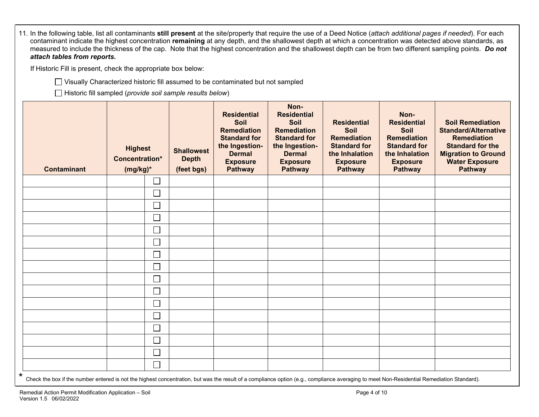| 11. In the following table, list all contaminants still present at the site/property that require the use of a Deed Notice (attach additional pages if needed). For each<br>contaminant indicate the highest concentration remaining at any depth, and the shallowest depth at which a concentration was detected above standards, as<br>measured to include the thickness of the cap. Note that the highest concentration and the shallowest depth can be from two different sampling points. Do not<br>attach tables from reports. |                                                                                                                                                       |                                                 |                                                                                                                                                 |                                                                                                                                                                |                                                                                                                                |                                                                                                                                        |                                                                                                                                                                                  |
|--------------------------------------------------------------------------------------------------------------------------------------------------------------------------------------------------------------------------------------------------------------------------------------------------------------------------------------------------------------------------------------------------------------------------------------------------------------------------------------------------------------------------------------|-------------------------------------------------------------------------------------------------------------------------------------------------------|-------------------------------------------------|-------------------------------------------------------------------------------------------------------------------------------------------------|----------------------------------------------------------------------------------------------------------------------------------------------------------------|--------------------------------------------------------------------------------------------------------------------------------|----------------------------------------------------------------------------------------------------------------------------------------|----------------------------------------------------------------------------------------------------------------------------------------------------------------------------------|
| If Historic Fill is present, check the appropriate box below:                                                                                                                                                                                                                                                                                                                                                                                                                                                                        |                                                                                                                                                       |                                                 |                                                                                                                                                 |                                                                                                                                                                |                                                                                                                                |                                                                                                                                        |                                                                                                                                                                                  |
|                                                                                                                                                                                                                                                                                                                                                                                                                                                                                                                                      | □ Visually Characterized historic fill assumed to be contaminated but not sampled<br>$\Box$ Historic fill sampled (provide soil sample results below) |                                                 |                                                                                                                                                 |                                                                                                                                                                |                                                                                                                                |                                                                                                                                        |                                                                                                                                                                                  |
| <b>Contaminant</b>                                                                                                                                                                                                                                                                                                                                                                                                                                                                                                                   | <b>Highest</b><br><b>Concentration*</b><br>$(mg/kg)^*$                                                                                                | <b>Shallowest</b><br><b>Depth</b><br>(feet bgs) | <b>Residential</b><br>Soil<br><b>Remediation</b><br><b>Standard for</b><br>the Ingestion-<br><b>Dermal</b><br><b>Exposure</b><br><b>Pathway</b> | Non-<br><b>Residential</b><br><b>Soil</b><br><b>Remediation</b><br><b>Standard for</b><br>the Ingestion-<br><b>Dermal</b><br><b>Exposure</b><br><b>Pathway</b> | <b>Residential</b><br>Soil<br><b>Remediation</b><br><b>Standard for</b><br>the Inhalation<br><b>Exposure</b><br><b>Pathway</b> | Non-<br><b>Residential</b><br>Soil<br><b>Remediation</b><br><b>Standard for</b><br>the Inhalation<br><b>Exposure</b><br><b>Pathway</b> | <b>Soil Remediation</b><br><b>Standard/Alternative</b><br><b>Remediation</b><br><b>Standard for the</b><br><b>Migration to Ground</b><br><b>Water Exposure</b><br><b>Pathway</b> |
|                                                                                                                                                                                                                                                                                                                                                                                                                                                                                                                                      | $\mathcal{L}_{\mathcal{A}}$                                                                                                                           |                                                 |                                                                                                                                                 |                                                                                                                                                                |                                                                                                                                |                                                                                                                                        |                                                                                                                                                                                  |
|                                                                                                                                                                                                                                                                                                                                                                                                                                                                                                                                      | П                                                                                                                                                     |                                                 |                                                                                                                                                 |                                                                                                                                                                |                                                                                                                                |                                                                                                                                        |                                                                                                                                                                                  |
|                                                                                                                                                                                                                                                                                                                                                                                                                                                                                                                                      | $\sim$                                                                                                                                                |                                                 |                                                                                                                                                 |                                                                                                                                                                |                                                                                                                                |                                                                                                                                        |                                                                                                                                                                                  |
|                                                                                                                                                                                                                                                                                                                                                                                                                                                                                                                                      | $\mathcal{L}_{\mathcal{A}}$                                                                                                                           |                                                 |                                                                                                                                                 |                                                                                                                                                                |                                                                                                                                |                                                                                                                                        |                                                                                                                                                                                  |
|                                                                                                                                                                                                                                                                                                                                                                                                                                                                                                                                      | $\Box$                                                                                                                                                |                                                 |                                                                                                                                                 |                                                                                                                                                                |                                                                                                                                |                                                                                                                                        |                                                                                                                                                                                  |
|                                                                                                                                                                                                                                                                                                                                                                                                                                                                                                                                      | $\mathcal{L}_{\mathcal{A}}$                                                                                                                           |                                                 |                                                                                                                                                 |                                                                                                                                                                |                                                                                                                                |                                                                                                                                        |                                                                                                                                                                                  |
|                                                                                                                                                                                                                                                                                                                                                                                                                                                                                                                                      | $\Box$                                                                                                                                                |                                                 |                                                                                                                                                 |                                                                                                                                                                |                                                                                                                                |                                                                                                                                        |                                                                                                                                                                                  |
|                                                                                                                                                                                                                                                                                                                                                                                                                                                                                                                                      | $\mathcal{L}_{\mathcal{A}}$                                                                                                                           |                                                 |                                                                                                                                                 |                                                                                                                                                                |                                                                                                                                |                                                                                                                                        |                                                                                                                                                                                  |
|                                                                                                                                                                                                                                                                                                                                                                                                                                                                                                                                      | $\Box$                                                                                                                                                |                                                 |                                                                                                                                                 |                                                                                                                                                                |                                                                                                                                |                                                                                                                                        |                                                                                                                                                                                  |
|                                                                                                                                                                                                                                                                                                                                                                                                                                                                                                                                      | $\mathcal{L}$                                                                                                                                         |                                                 |                                                                                                                                                 |                                                                                                                                                                |                                                                                                                                |                                                                                                                                        |                                                                                                                                                                                  |
|                                                                                                                                                                                                                                                                                                                                                                                                                                                                                                                                      | $\mathcal{L}_{\mathcal{A}}$                                                                                                                           |                                                 |                                                                                                                                                 |                                                                                                                                                                |                                                                                                                                |                                                                                                                                        |                                                                                                                                                                                  |
|                                                                                                                                                                                                                                                                                                                                                                                                                                                                                                                                      | $\mathcal{L}_{\mathcal{A}}$                                                                                                                           |                                                 |                                                                                                                                                 |                                                                                                                                                                |                                                                                                                                |                                                                                                                                        |                                                                                                                                                                                  |
|                                                                                                                                                                                                                                                                                                                                                                                                                                                                                                                                      | $\mathbb{R}^n$                                                                                                                                        |                                                 |                                                                                                                                                 |                                                                                                                                                                |                                                                                                                                |                                                                                                                                        |                                                                                                                                                                                  |
|                                                                                                                                                                                                                                                                                                                                                                                                                                                                                                                                      | $\mathcal{L}_{\mathcal{A}}$                                                                                                                           |                                                 |                                                                                                                                                 |                                                                                                                                                                |                                                                                                                                |                                                                                                                                        |                                                                                                                                                                                  |
|                                                                                                                                                                                                                                                                                                                                                                                                                                                                                                                                      |                                                                                                                                                       |                                                 |                                                                                                                                                 |                                                                                                                                                                |                                                                                                                                |                                                                                                                                        |                                                                                                                                                                                  |
|                                                                                                                                                                                                                                                                                                                                                                                                                                                                                                                                      | $\Box$                                                                                                                                                |                                                 |                                                                                                                                                 |                                                                                                                                                                |                                                                                                                                |                                                                                                                                        |                                                                                                                                                                                  |

\* Check the box if the number entered is not the highest concentration, but was the result of a compliance option (e.g., compliance averaging to meet Non-Residential Remediation Standard).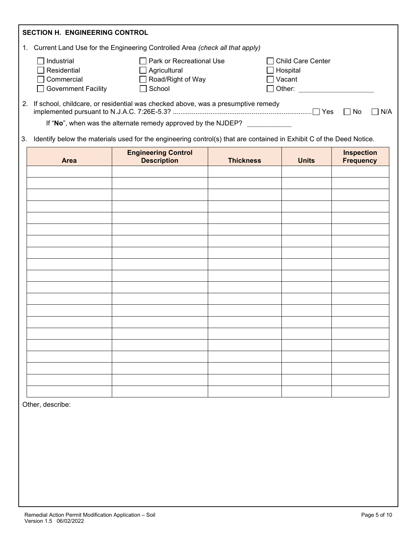|    | <b>SECTION H. ENGINEERING CONTROL</b>                                        |                                                                                  |                                                                       |    |     |
|----|------------------------------------------------------------------------------|----------------------------------------------------------------------------------|-----------------------------------------------------------------------|----|-----|
|    |                                                                              | Current Land Use for the Engineering Controlled Area (check all that apply)      |                                                                       |    |     |
|    | Industrial<br>$\Box$ Residential<br>$\Box$ Commercial<br>Government Facility | Park or Recreational Use<br>Agricultural<br>Road/Right of Way<br>School          | Child Care Center<br>$\Box$ Hospital<br>่ Vacant ∣<br>$\sqcap$ Other: |    |     |
| 2. |                                                                              | If school, childcare, or residential was checked above, was a presumptive remedy | Yes                                                                   | No | N/A |
|    |                                                                              | If "No", when was the alternate remedy approved by the NJDEP?                    |                                                                       |    |     |

3. Identify below the materials used for the engineering control(s) that are contained in Exhibit C of the Deed Notice.

| Area | <b>Engineering Control</b><br>Description | <b>Thickness</b> | <b>Units</b> | <b>Inspection</b><br>Frequency |
|------|-------------------------------------------|------------------|--------------|--------------------------------|
|      |                                           |                  |              |                                |
|      |                                           |                  |              |                                |
|      |                                           |                  |              |                                |
|      |                                           |                  |              |                                |
|      |                                           |                  |              |                                |
|      |                                           |                  |              |                                |
|      |                                           |                  |              |                                |
|      |                                           |                  |              |                                |
|      |                                           |                  |              |                                |
|      |                                           |                  |              |                                |
|      |                                           |                  |              |                                |
|      |                                           |                  |              |                                |
|      |                                           |                  |              |                                |
|      |                                           |                  |              |                                |
|      |                                           |                  |              |                                |
|      |                                           |                  |              |                                |
|      |                                           |                  |              |                                |
|      |                                           |                  |              |                                |
|      |                                           |                  |              |                                |
|      |                                           |                  |              |                                |

Other, describe: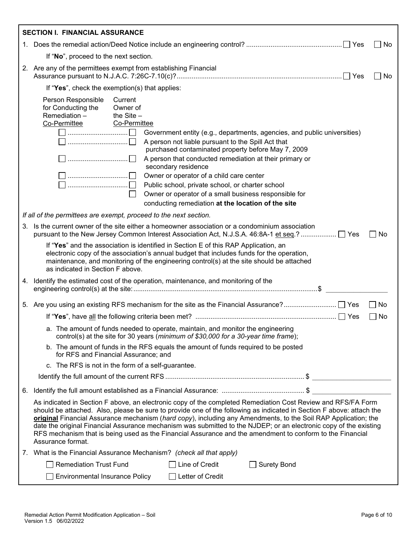|    | <b>SECTION I. FINANCIAL ASSURANCE</b>                                                                                                                                                                                                                                                                                                                                                                                                                                                                                                                                                                                                                                                                              |             |
|----|--------------------------------------------------------------------------------------------------------------------------------------------------------------------------------------------------------------------------------------------------------------------------------------------------------------------------------------------------------------------------------------------------------------------------------------------------------------------------------------------------------------------------------------------------------------------------------------------------------------------------------------------------------------------------------------------------------------------|-------------|
|    |                                                                                                                                                                                                                                                                                                                                                                                                                                                                                                                                                                                                                                                                                                                    | No          |
|    | If "No", proceed to the next section.                                                                                                                                                                                                                                                                                                                                                                                                                                                                                                                                                                                                                                                                              |             |
|    | 2. Are any of the permittees exempt from establishing Financial                                                                                                                                                                                                                                                                                                                                                                                                                                                                                                                                                                                                                                                    | No          |
|    | If "Yes", check the exemption(s) that applies:                                                                                                                                                                                                                                                                                                                                                                                                                                                                                                                                                                                                                                                                     |             |
|    | Person Responsible<br>Current<br>for Conducting the<br>Owner of<br>Remediation-<br>the $Site -$<br>Co-Permittee<br>Co-Permittee<br>Government entity (e.g., departments, agencies, and public universities)<br>A person not liable pursuant to the Spill Act that<br>purchased contaminated property before May 7, 2009<br>A person that conducted remediation at their primary or<br>secondary residence<br>Owner or operator of a child care center<br>$\begin{array}{c} \ldots \ldots \ldots \ldots \ldots \ldots \ldots \ldots \end{array}$<br>Public school, private school, or charter school<br>Owner or operator of a small business responsible for<br>conducting remediation at the location of the site |             |
|    | If all of the permittees are exempt, proceed to the next section.                                                                                                                                                                                                                                                                                                                                                                                                                                                                                                                                                                                                                                                  |             |
|    | 3. Is the current owner of the site either a homeowner association or a condominium association                                                                                                                                                                                                                                                                                                                                                                                                                                                                                                                                                                                                                    | No          |
|    | If "Yes" and the association is identified in Section E of this RAP Application, an<br>electronic copy of the association's annual budget that includes funds for the operation,<br>maintenance, and monitoring of the engineering control(s) at the site should be attached<br>as indicated in Section F above.                                                                                                                                                                                                                                                                                                                                                                                                   |             |
|    | 4. Identify the estimated cost of the operation, maintenance, and monitoring of the                                                                                                                                                                                                                                                                                                                                                                                                                                                                                                                                                                                                                                |             |
|    |                                                                                                                                                                                                                                                                                                                                                                                                                                                                                                                                                                                                                                                                                                                    | $\sqcap$ No |
|    |                                                                                                                                                                                                                                                                                                                                                                                                                                                                                                                                                                                                                                                                                                                    | No          |
|    | a. The amount of funds needed to operate, maintain, and monitor the engineering<br>control(s) at the site for 30 years (minimum of \$30,000 for a 30-year time frame);                                                                                                                                                                                                                                                                                                                                                                                                                                                                                                                                             |             |
|    | b. The amount of funds in the RFS equals the amount of funds required to be posted<br>for RFS and Financial Assurance; and                                                                                                                                                                                                                                                                                                                                                                                                                                                                                                                                                                                         |             |
|    | c. The RFS is not in the form of a self-guarantee.                                                                                                                                                                                                                                                                                                                                                                                                                                                                                                                                                                                                                                                                 |             |
|    |                                                                                                                                                                                                                                                                                                                                                                                                                                                                                                                                                                                                                                                                                                                    |             |
| 6. |                                                                                                                                                                                                                                                                                                                                                                                                                                                                                                                                                                                                                                                                                                                    |             |
|    | As indicated in Section F above, an electronic copy of the completed Remediation Cost Review and RFS/FA Form<br>should be attached. Also, please be sure to provide one of the following as indicated in Section F above: attach the<br>original Financial Assurance mechanism (hard copy), including any Amendments, to the Soil RAP Application; the<br>date the original Financial Assurance mechanism was submitted to the NJDEP; or an electronic copy of the existing<br>RFS mechanism that is being used as the Financial Assurance and the amendment to conform to the Financial<br>Assurance format.                                                                                                      |             |
|    | 7. What is the Financial Assurance Mechanism? (check all that apply)                                                                                                                                                                                                                                                                                                                                                                                                                                                                                                                                                                                                                                               |             |
|    | <b>Remediation Trust Fund</b><br>$\Box$ Line of Credit<br><b>Surety Bond</b>                                                                                                                                                                                                                                                                                                                                                                                                                                                                                                                                                                                                                                       |             |
|    | $\Box$ Letter of Credit<br><b>Environmental Insurance Policy</b>                                                                                                                                                                                                                                                                                                                                                                                                                                                                                                                                                                                                                                                   |             |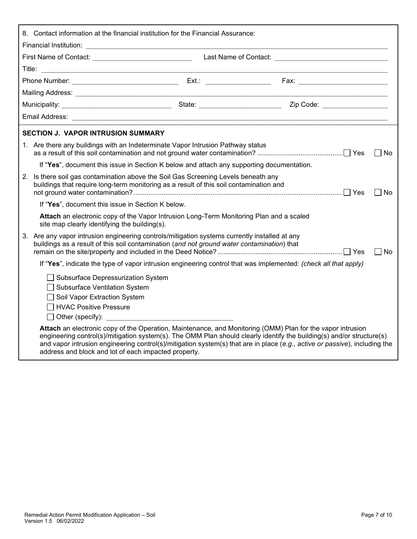| 8. Contact information at the financial institution for the Financial Assurance:                                                                                                            |                                                                                                                                                                                                                                                                                                                                                                   |           |
|---------------------------------------------------------------------------------------------------------------------------------------------------------------------------------------------|-------------------------------------------------------------------------------------------------------------------------------------------------------------------------------------------------------------------------------------------------------------------------------------------------------------------------------------------------------------------|-----------|
|                                                                                                                                                                                             |                                                                                                                                                                                                                                                                                                                                                                   |           |
|                                                                                                                                                                                             |                                                                                                                                                                                                                                                                                                                                                                   |           |
|                                                                                                                                                                                             |                                                                                                                                                                                                                                                                                                                                                                   |           |
|                                                                                                                                                                                             |                                                                                                                                                                                                                                                                                                                                                                   |           |
|                                                                                                                                                                                             |                                                                                                                                                                                                                                                                                                                                                                   |           |
|                                                                                                                                                                                             |                                                                                                                                                                                                                                                                                                                                                                   |           |
|                                                                                                                                                                                             |                                                                                                                                                                                                                                                                                                                                                                   |           |
| <b>SECTION J. VAPOR INTRUSION SUMMARY</b>                                                                                                                                                   |                                                                                                                                                                                                                                                                                                                                                                   |           |
| 1. Are there any buildings with an Indeterminate Vapor Intrusion Pathway status                                                                                                             |                                                                                                                                                                                                                                                                                                                                                                   | $\Box$ No |
| If "Yes", document this issue in Section K below and attach any supporting documentation.                                                                                                   |                                                                                                                                                                                                                                                                                                                                                                   |           |
| 2. Is there soil gas contamination above the Soil Gas Screening Levels beneath any<br>buildings that require long-term monitoring as a result of this soil contamination and                |                                                                                                                                                                                                                                                                                                                                                                   | l INo     |
| If "Yes", document this issue in Section K below.                                                                                                                                           |                                                                                                                                                                                                                                                                                                                                                                   |           |
| Attach an electronic copy of the Vapor Intrusion Long-Term Monitoring Plan and a scaled<br>site map clearly identifying the building(s).                                                    |                                                                                                                                                                                                                                                                                                                                                                   |           |
| 3. Are any vapor intrusion engineering controls/mitigation systems currently installed at any<br>buildings as a result of this soil contamination (and not ground water contamination) that |                                                                                                                                                                                                                                                                                                                                                                   | $\Box$ No |
|                                                                                                                                                                                             | If "Yes", indicate the type of vapor intrusion engineering control that was implemented: (check all that apply)                                                                                                                                                                                                                                                   |           |
| □ Subsurface Depressurization System<br>Subsurface Ventilation System<br>Soil Vapor Extraction System<br><b>HVAC Positive Pressure</b><br>$\Box$ Other (specify):                           |                                                                                                                                                                                                                                                                                                                                                                   |           |
| address and block and lot of each impacted property.                                                                                                                                        | Attach an electronic copy of the Operation, Maintenance, and Monitoring (OMM) Plan for the vapor intrusion<br>engineering control(s)/mitigation system(s). The OMM Plan should clearly identify the building(s) and/or structure(s)<br>and vapor intrusion engineering control(s)/mitigation system(s) that are in place (e.g., active or passive), including the |           |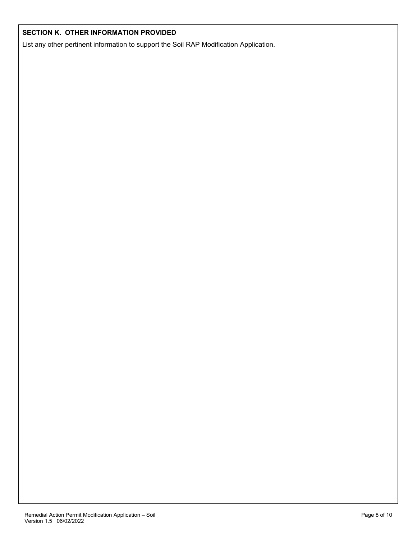### **SECTION K. OTHER INFORMATION PROVIDED**

List any other pertinent information to support the Soil RAP Modification Application.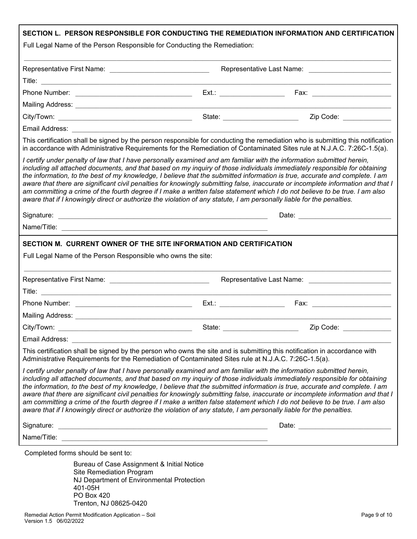| Full Legal Name of the Person Responsible for Conducting the Remediation:                                                                                                                                                                                                                                                                                                     |                                                                                                                      | SECTION L. PERSON RESPONSIBLE FOR CONDUCTING THE REMEDIATION INFORMATION AND CERTIFICATION                                                                                                                                                                                                                                                                                                                                                                                                                                  |
|-------------------------------------------------------------------------------------------------------------------------------------------------------------------------------------------------------------------------------------------------------------------------------------------------------------------------------------------------------------------------------|----------------------------------------------------------------------------------------------------------------------|-----------------------------------------------------------------------------------------------------------------------------------------------------------------------------------------------------------------------------------------------------------------------------------------------------------------------------------------------------------------------------------------------------------------------------------------------------------------------------------------------------------------------------|
|                                                                                                                                                                                                                                                                                                                                                                               |                                                                                                                      |                                                                                                                                                                                                                                                                                                                                                                                                                                                                                                                             |
|                                                                                                                                                                                                                                                                                                                                                                               |                                                                                                                      |                                                                                                                                                                                                                                                                                                                                                                                                                                                                                                                             |
|                                                                                                                                                                                                                                                                                                                                                                               |                                                                                                                      |                                                                                                                                                                                                                                                                                                                                                                                                                                                                                                                             |
|                                                                                                                                                                                                                                                                                                                                                                               |                                                                                                                      |                                                                                                                                                                                                                                                                                                                                                                                                                                                                                                                             |
|                                                                                                                                                                                                                                                                                                                                                                               |                                                                                                                      |                                                                                                                                                                                                                                                                                                                                                                                                                                                                                                                             |
|                                                                                                                                                                                                                                                                                                                                                                               | State: _______________________                                                                                       | Zip Code: _____________                                                                                                                                                                                                                                                                                                                                                                                                                                                                                                     |
| Email Address: No. 2008. Email: Address: No. 2008. Email: Address: No. 2008. Email: Address: No. 2008. Email: A                                                                                                                                                                                                                                                               |                                                                                                                      |                                                                                                                                                                                                                                                                                                                                                                                                                                                                                                                             |
|                                                                                                                                                                                                                                                                                                                                                                               |                                                                                                                      | This certification shall be signed by the person responsible for conducting the remediation who is submitting this notification<br>in accordance with Administrative Requirements for the Remediation of Contaminated Sites rule at N.J.A.C. 7:26C-1.5(a).                                                                                                                                                                                                                                                                  |
| I certify under penalty of law that I have personally examined and am familiar with the information submitted herein,<br>am committing a crime of the fourth degree if I make a written false statement which I do not believe to be true. I am also<br>aware that if I knowingly direct or authorize the violation of any statute, I am personally liable for the penalties. |                                                                                                                      | including all attached documents, and that based on my inquiry of those individuals immediately responsible for obtaining<br>the information, to the best of my knowledge, I believe that the submitted information is true, accurate and complete. I am<br>aware that there are significant civil penalties for knowingly submitting false, inaccurate or incomplete information and that I                                                                                                                                |
|                                                                                                                                                                                                                                                                                                                                                                               |                                                                                                                      | Date: Date: Date: Date: Date: Date: Date: Date: Date: Date: Date: Date: Date: Date: Date: Date: Date: Date: Date: Date: Date: Date: Date: Date: Date: Date: Date: Date: Date: Date: Date: Date: Date: Date: Date: Date: Date:                                                                                                                                                                                                                                                                                               |
|                                                                                                                                                                                                                                                                                                                                                                               |                                                                                                                      |                                                                                                                                                                                                                                                                                                                                                                                                                                                                                                                             |
| SECTION M. CURRENT OWNER OF THE SITE INFORMATION AND CERTIFICATION                                                                                                                                                                                                                                                                                                            |                                                                                                                      |                                                                                                                                                                                                                                                                                                                                                                                                                                                                                                                             |
| Full Legal Name of the Person Responsible who owns the site:                                                                                                                                                                                                                                                                                                                  |                                                                                                                      |                                                                                                                                                                                                                                                                                                                                                                                                                                                                                                                             |
|                                                                                                                                                                                                                                                                                                                                                                               |                                                                                                                      |                                                                                                                                                                                                                                                                                                                                                                                                                                                                                                                             |
|                                                                                                                                                                                                                                                                                                                                                                               |                                                                                                                      |                                                                                                                                                                                                                                                                                                                                                                                                                                                                                                                             |
|                                                                                                                                                                                                                                                                                                                                                                               | $Ext.$ : $\qquad \qquad$                                                                                             | Fax: _________________________                                                                                                                                                                                                                                                                                                                                                                                                                                                                                              |
| Mailing Address: Mailing Address: Mailing Address: Mailing Address: Mail 1999                                                                                                                                                                                                                                                                                                 |                                                                                                                      |                                                                                                                                                                                                                                                                                                                                                                                                                                                                                                                             |
| City/Town:                                                                                                                                                                                                                                                                                                                                                                    | State:                                                                                                               | Zip Code:                                                                                                                                                                                                                                                                                                                                                                                                                                                                                                                   |
|                                                                                                                                                                                                                                                                                                                                                                               |                                                                                                                      |                                                                                                                                                                                                                                                                                                                                                                                                                                                                                                                             |
| This certification shall be signed by the person who owns the site and is submitting this notification in accordance with<br>Administrative Requirements for the Remediation of Contaminated Sites rule at N.J.A.C. 7:26C-1.5(a).                                                                                                                                             |                                                                                                                      |                                                                                                                                                                                                                                                                                                                                                                                                                                                                                                                             |
| I certify under penalty of law that I have personally examined and am familiar with the information submitted herein,<br>aware that if I knowingly direct or authorize the violation of any statute, I am personally liable for the penalties.                                                                                                                                |                                                                                                                      | including all attached documents, and that based on my inquiry of those individuals immediately responsible for obtaining<br>the information, to the best of my knowledge, I believe that the submitted information is true, accurate and complete. I am<br>aware that there are significant civil penalties for knowingly submitting false, inaccurate or incomplete information and that I<br>am committing a crime of the fourth degree if I make a written false statement which I do not believe to be true. I am also |
| Signature:                                                                                                                                                                                                                                                                                                                                                                    | <u> 1989 - Jan James James Barnett, amerikan basar personal di sebagai personal di sebagai personal di sebagai p</u> | Date: Date: Date: Date: Date: Date: Date: Date: Date: Date: Date: Date: Date: Date: Date: Date: Date: Date: Date: Date: Date: Date: Date: Date: Date: Date: Date: Date: Date: Date: Date: Date: Date: Date: Date: Date: Date:                                                                                                                                                                                                                                                                                               |
|                                                                                                                                                                                                                                                                                                                                                                               |                                                                                                                      |                                                                                                                                                                                                                                                                                                                                                                                                                                                                                                                             |
| Completed forms should be sent to:                                                                                                                                                                                                                                                                                                                                            |                                                                                                                      |                                                                                                                                                                                                                                                                                                                                                                                                                                                                                                                             |
| Bureau of Case Assignment & Initial Notice<br><b>Site Remediation Program</b><br>NJ Department of Environmental Protection<br>401-05H<br>PO Box 420                                                                                                                                                                                                                           |                                                                                                                      |                                                                                                                                                                                                                                                                                                                                                                                                                                                                                                                             |

Trenton, NJ 08625-0420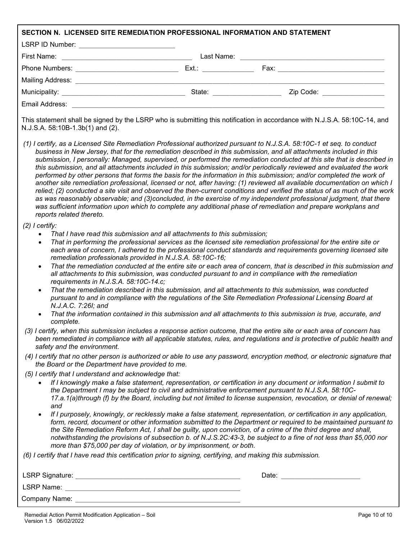| SECTION N. LICENSED SITE REMEDIATION PROFESSIONAL INFORMATION AND STATEMENT                                                                                                                                                                                                                |                                                                                                                                                                                                                                                                                                                                                                                                                                                                                                                                                                                                                                                                                                                                                                                                                                                                                                                                                                                                                                                                                                                                |
|--------------------------------------------------------------------------------------------------------------------------------------------------------------------------------------------------------------------------------------------------------------------------------------------|--------------------------------------------------------------------------------------------------------------------------------------------------------------------------------------------------------------------------------------------------------------------------------------------------------------------------------------------------------------------------------------------------------------------------------------------------------------------------------------------------------------------------------------------------------------------------------------------------------------------------------------------------------------------------------------------------------------------------------------------------------------------------------------------------------------------------------------------------------------------------------------------------------------------------------------------------------------------------------------------------------------------------------------------------------------------------------------------------------------------------------|
| LSRP ID Number: ____________________________                                                                                                                                                                                                                                               |                                                                                                                                                                                                                                                                                                                                                                                                                                                                                                                                                                                                                                                                                                                                                                                                                                                                                                                                                                                                                                                                                                                                |
|                                                                                                                                                                                                                                                                                            |                                                                                                                                                                                                                                                                                                                                                                                                                                                                                                                                                                                                                                                                                                                                                                                                                                                                                                                                                                                                                                                                                                                                |
|                                                                                                                                                                                                                                                                                            |                                                                                                                                                                                                                                                                                                                                                                                                                                                                                                                                                                                                                                                                                                                                                                                                                                                                                                                                                                                                                                                                                                                                |
|                                                                                                                                                                                                                                                                                            |                                                                                                                                                                                                                                                                                                                                                                                                                                                                                                                                                                                                                                                                                                                                                                                                                                                                                                                                                                                                                                                                                                                                |
|                                                                                                                                                                                                                                                                                            | Zip Code: 2000 - 2000 - 2010 - 2010 - 2010 - 2010 - 2010 - 2010 - 2010 - 2010 - 2010 - 2010 - 2010 - 2010 - 20                                                                                                                                                                                                                                                                                                                                                                                                                                                                                                                                                                                                                                                                                                                                                                                                                                                                                                                                                                                                                 |
| Email Address: <u>Alexander Address and Address and Address and Address and Address and Address and Address and A</u>                                                                                                                                                                      |                                                                                                                                                                                                                                                                                                                                                                                                                                                                                                                                                                                                                                                                                                                                                                                                                                                                                                                                                                                                                                                                                                                                |
| N.J.S.A. 58:10B-1.3b(1) and (2).                                                                                                                                                                                                                                                           | This statement shall be signed by the LSRP who is submitting this notification in accordance with N.J.S.A. 58:10C-14, and                                                                                                                                                                                                                                                                                                                                                                                                                                                                                                                                                                                                                                                                                                                                                                                                                                                                                                                                                                                                      |
| reports related thereto.                                                                                                                                                                                                                                                                   | (1) I certify, as a Licensed Site Remediation Professional authorized pursuant to N.J.S.A. 58:10C-1 et seq. to conduct<br>business in New Jersey, that for the remediation described in this submission, and all attachments included in this<br>submission, I personally: Managed, supervised, or performed the remediation conducted at this site that is described in<br>this submission, and all attachments included in this submission; and/or periodically reviewed and evaluated the work<br>performed by other persons that forms the basis for the information in this submission; and/or completed the work of<br>another site remediation professional, licensed or not, after having: (1) reviewed all available documentation on which I<br>relied; (2) conducted a site visit and observed the then-current conditions and verified the status of as much of the work<br>as was reasonably observable; and (3)concluded, in the exercise of my independent professional judgment, that there<br>was sufficient information upon which to complete any additional phase of remediation and prepare workplans and |
| $(2)$ I certify:<br>That I have read this submission and all attachments to this submission;<br>$\bullet$<br>$\bullet$<br>remediation professionals provided in N.J.S.A. 58:10C-16;<br>$\bullet$<br>requirements in N.J.S.A. 58:10C-14.c;<br>$\bullet$<br>N.J.A.C. 7:26I; and<br>complete. | That in performing the professional services as the licensed site remediation professional for the entire site or<br>each area of concern, I adhered to the professional conduct standards and requirements governing licensed site<br>That the remediation conducted at the entire site or each area of concern, that is described in this submission and<br>all attachments to this submission, was conducted pursuant to and in compliance with the remediation<br>That the remediation described in this submission, and all attachments to this submission, was conducted<br>pursuant to and in compliance with the regulations of the Site Remediation Professional Licensing Board at<br>That the information contained in this submission and all attachments to this submission is true, accurate, and                                                                                                                                                                                                                                                                                                                |
| safety and the environment.                                                                                                                                                                                                                                                                | (3) I certify, when this submission includes a response action outcome, that the entire site or each area of concern has<br>been remediated in compliance with all applicable statutes, rules, and regulations and is protective of public health and                                                                                                                                                                                                                                                                                                                                                                                                                                                                                                                                                                                                                                                                                                                                                                                                                                                                          |
| the Board or the Department have provided to me.                                                                                                                                                                                                                                           | (4) I certify that no other person is authorized or able to use any password, encryption method, or electronic signature that                                                                                                                                                                                                                                                                                                                                                                                                                                                                                                                                                                                                                                                                                                                                                                                                                                                                                                                                                                                                  |
| (5) I certify that I understand and acknowledge that:<br>and<br>more than \$75,000 per day of violation, or by imprisonment, or both.                                                                                                                                                      | If I knowingly make a false statement, representation, or certification in any document or information I submit to<br>the Department I may be subject to civil and administrative enforcement pursuant to N.J.S.A. 58:10C-<br>17.a.1(a)through (f) by the Board, including but not limited to license suspension, revocation, or denial of renewal;<br>If I purposely, knowingly, or recklessly make a false statement, representation, or certification in any application,<br>form, record, document or other information submitted to the Department or required to be maintained pursuant to<br>the Site Remediation Reform Act, I shall be guilty, upon conviction, of a crime of the third degree and shall,<br>notwithstanding the provisions of subsection b. of N.J.S.2C:43-3, be subject to a fine of not less than \$5,000 nor                                                                                                                                                                                                                                                                                      |
| (6) I certify that I have read this certification prior to signing, certifying, and making this submission.                                                                                                                                                                                |                                                                                                                                                                                                                                                                                                                                                                                                                                                                                                                                                                                                                                                                                                                                                                                                                                                                                                                                                                                                                                                                                                                                |
|                                                                                                                                                                                                                                                                                            | Date: <u>__________________</u>                                                                                                                                                                                                                                                                                                                                                                                                                                                                                                                                                                                                                                                                                                                                                                                                                                                                                                                                                                                                                                                                                                |
|                                                                                                                                                                                                                                                                                            |                                                                                                                                                                                                                                                                                                                                                                                                                                                                                                                                                                                                                                                                                                                                                                                                                                                                                                                                                                                                                                                                                                                                |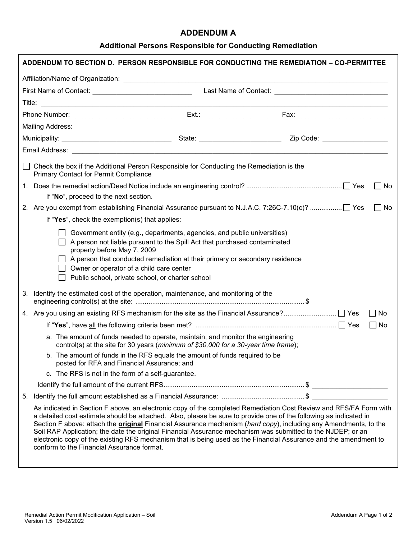### **ADDENDUM A**

## **Additional Persons Responsible for Conducting Remediation**

| ADDENDUM TO SECTION D. PERSON RESPONSIBLE FOR CONDUCTING THE REMEDIATION – CO-PERMITTEE                                                                                                                                                                                                                                                                             |                                                                                                                                                                                                                                                                                                                                                                  |
|---------------------------------------------------------------------------------------------------------------------------------------------------------------------------------------------------------------------------------------------------------------------------------------------------------------------------------------------------------------------|------------------------------------------------------------------------------------------------------------------------------------------------------------------------------------------------------------------------------------------------------------------------------------------------------------------------------------------------------------------|
|                                                                                                                                                                                                                                                                                                                                                                     |                                                                                                                                                                                                                                                                                                                                                                  |
|                                                                                                                                                                                                                                                                                                                                                                     |                                                                                                                                                                                                                                                                                                                                                                  |
|                                                                                                                                                                                                                                                                                                                                                                     |                                                                                                                                                                                                                                                                                                                                                                  |
|                                                                                                                                                                                                                                                                                                                                                                     |                                                                                                                                                                                                                                                                                                                                                                  |
|                                                                                                                                                                                                                                                                                                                                                                     |                                                                                                                                                                                                                                                                                                                                                                  |
|                                                                                                                                                                                                                                                                                                                                                                     |                                                                                                                                                                                                                                                                                                                                                                  |
|                                                                                                                                                                                                                                                                                                                                                                     |                                                                                                                                                                                                                                                                                                                                                                  |
| Check the box if the Additional Person Responsible for Conducting the Remediation is the<br><b>Primary Contact for Permit Compliance</b>                                                                                                                                                                                                                            |                                                                                                                                                                                                                                                                                                                                                                  |
|                                                                                                                                                                                                                                                                                                                                                                     | No<br>$\perp$                                                                                                                                                                                                                                                                                                                                                    |
| If "No", proceed to the next section.                                                                                                                                                                                                                                                                                                                               |                                                                                                                                                                                                                                                                                                                                                                  |
|                                                                                                                                                                                                                                                                                                                                                                     | $\perp$<br>No                                                                                                                                                                                                                                                                                                                                                    |
| If "Yes", check the exemption(s) that applies:                                                                                                                                                                                                                                                                                                                      |                                                                                                                                                                                                                                                                                                                                                                  |
| Government entity (e.g., departments, agencies, and public universities)<br>A person not liable pursuant to the Spill Act that purchased contaminated<br>property before May 7, 2009<br>A person that conducted remediation at their primary or secondary residence<br>Owner or operator of a child care center<br>Public school, private school, or charter school |                                                                                                                                                                                                                                                                                                                                                                  |
| Identify the estimated cost of the operation, maintenance, and monitoring of the<br>3.                                                                                                                                                                                                                                                                              |                                                                                                                                                                                                                                                                                                                                                                  |
|                                                                                                                                                                                                                                                                                                                                                                     | $\Box$ No                                                                                                                                                                                                                                                                                                                                                        |
|                                                                                                                                                                                                                                                                                                                                                                     | $\Box$ No                                                                                                                                                                                                                                                                                                                                                        |
| a. The amount of funds needed to operate, maintain, and monitor the engineering<br>control(s) at the site for 30 years (minimum of \$30,000 for a 30-year time frame);                                                                                                                                                                                              |                                                                                                                                                                                                                                                                                                                                                                  |
| b. The amount of funds in the RFS equals the amount of funds required to be<br>posted for RFA and Financial Assurance; and                                                                                                                                                                                                                                          |                                                                                                                                                                                                                                                                                                                                                                  |
| c. The RFS is not in the form of a self-guarantee.                                                                                                                                                                                                                                                                                                                  |                                                                                                                                                                                                                                                                                                                                                                  |
|                                                                                                                                                                                                                                                                                                                                                                     |                                                                                                                                                                                                                                                                                                                                                                  |
| 5.                                                                                                                                                                                                                                                                                                                                                                  |                                                                                                                                                                                                                                                                                                                                                                  |
| a detailed cost estimate should be attached. Also, please be sure to provide one of the following as indicated in<br>Soil RAP Application; the date the original Financial Assurance mechanism was submitted to the NJDEP; or an<br>conform to the Financial Assurance format.                                                                                      | As indicated in Section F above, an electronic copy of the completed Remediation Cost Review and RFS/FA Form with<br>Section F above: attach the <b>original</b> Financial Assurance mechanism (hard copy), including any Amendments, to the<br>electronic copy of the existing RFS mechanism that is being used as the Financial Assurance and the amendment to |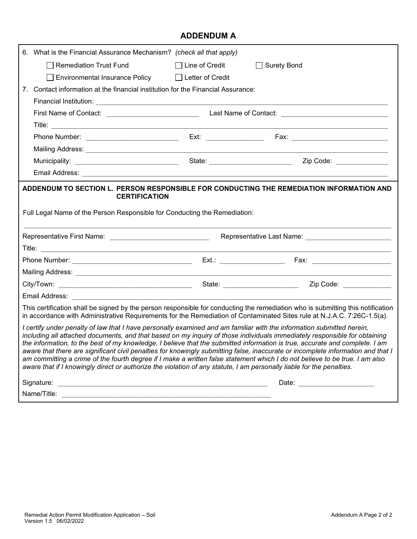# **ADDENDUM A**

|    | 6. What is the Financial Assurance Mechanism? (check all that apply)                                                                                                                                                                           |                       |                                                                                                                                                                                                                                                                                                                                                                                                                                                                                                                             |
|----|------------------------------------------------------------------------------------------------------------------------------------------------------------------------------------------------------------------------------------------------|-----------------------|-----------------------------------------------------------------------------------------------------------------------------------------------------------------------------------------------------------------------------------------------------------------------------------------------------------------------------------------------------------------------------------------------------------------------------------------------------------------------------------------------------------------------------|
|    | <b>Remediation Trust Fund</b>                                                                                                                                                                                                                  | $\Box$ Line of Credit | $\Box$ Surety Bond                                                                                                                                                                                                                                                                                                                                                                                                                                                                                                          |
|    | <b>Environmental Insurance Policy</b>                                                                                                                                                                                                          | Letter of Credit      |                                                                                                                                                                                                                                                                                                                                                                                                                                                                                                                             |
| 7. | Contact information at the financial institution for the Financial Assurance:                                                                                                                                                                  |                       |                                                                                                                                                                                                                                                                                                                                                                                                                                                                                                                             |
|    |                                                                                                                                                                                                                                                |                       |                                                                                                                                                                                                                                                                                                                                                                                                                                                                                                                             |
|    |                                                                                                                                                                                                                                                |                       |                                                                                                                                                                                                                                                                                                                                                                                                                                                                                                                             |
|    |                                                                                                                                                                                                                                                |                       |                                                                                                                                                                                                                                                                                                                                                                                                                                                                                                                             |
|    |                                                                                                                                                                                                                                                |                       |                                                                                                                                                                                                                                                                                                                                                                                                                                                                                                                             |
|    |                                                                                                                                                                                                                                                |                       |                                                                                                                                                                                                                                                                                                                                                                                                                                                                                                                             |
|    |                                                                                                                                                                                                                                                |                       |                                                                                                                                                                                                                                                                                                                                                                                                                                                                                                                             |
|    |                                                                                                                                                                                                                                                |                       |                                                                                                                                                                                                                                                                                                                                                                                                                                                                                                                             |
|    | Full Legal Name of the Person Responsible for Conducting the Remediation:<br>Representative First Name: ___________________________________                                                                                                    |                       |                                                                                                                                                                                                                                                                                                                                                                                                                                                                                                                             |
|    |                                                                                                                                                                                                                                                |                       |                                                                                                                                                                                                                                                                                                                                                                                                                                                                                                                             |
|    |                                                                                                                                                                                                                                                |                       |                                                                                                                                                                                                                                                                                                                                                                                                                                                                                                                             |
|    |                                                                                                                                                                                                                                                |                       |                                                                                                                                                                                                                                                                                                                                                                                                                                                                                                                             |
|    |                                                                                                                                                                                                                                                |                       |                                                                                                                                                                                                                                                                                                                                                                                                                                                                                                                             |
|    | Email Address: 2008. 2009. 2010. 2010. 2010. 2010. 2010. 2010. 2010. 2010. 2010. 2010. 2010. 2010. 2010. 2010                                                                                                                                  |                       |                                                                                                                                                                                                                                                                                                                                                                                                                                                                                                                             |
|    |                                                                                                                                                                                                                                                |                       | This certification shall be signed by the person responsible for conducting the remediation who is submitting this notification<br>in accordance with Administrative Requirements for the Remediation of Contaminated Sites rule at N.J.A.C. 7:26C-1.5(a).                                                                                                                                                                                                                                                                  |
|    | I certify under penalty of law that I have personally examined and am familiar with the information submitted herein,<br>aware that if I knowingly direct or authorize the violation of any statute, I am personally liable for the penalties. |                       | including all attached documents, and that based on my inquiry of those individuals immediately responsible for obtaining<br>the information, to the best of my knowledge, I believe that the submitted information is true, accurate and complete. I am<br>aware that there are significant civil penalties for knowingly submitting false, inaccurate or incomplete information and that I<br>am committing a crime of the fourth degree if I make a written false statement which I do not believe to be true. I am also |
|    |                                                                                                                                                                                                                                                |                       |                                                                                                                                                                                                                                                                                                                                                                                                                                                                                                                             |
|    |                                                                                                                                                                                                                                                |                       | Date: _________________________                                                                                                                                                                                                                                                                                                                                                                                                                                                                                             |
|    |                                                                                                                                                                                                                                                |                       |                                                                                                                                                                                                                                                                                                                                                                                                                                                                                                                             |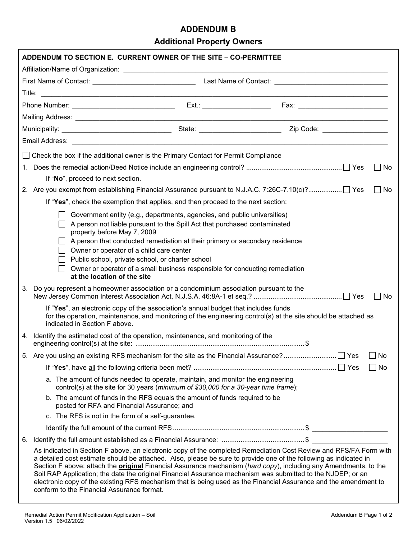## **ADDENDUM B**

**Additional Property Owners**

|                                                                                      | ADDENDUM TO SECTION E. CURRENT OWNER OF THE SITE - CO-PERMITTEE                                                                                                                                                                                                                                                                                                                                                                                                                                                                                                                                                                                    |  |                      |  |  |  |  |
|--------------------------------------------------------------------------------------|----------------------------------------------------------------------------------------------------------------------------------------------------------------------------------------------------------------------------------------------------------------------------------------------------------------------------------------------------------------------------------------------------------------------------------------------------------------------------------------------------------------------------------------------------------------------------------------------------------------------------------------------------|--|----------------------|--|--|--|--|
|                                                                                      |                                                                                                                                                                                                                                                                                                                                                                                                                                                                                                                                                                                                                                                    |  |                      |  |  |  |  |
|                                                                                      |                                                                                                                                                                                                                                                                                                                                                                                                                                                                                                                                                                                                                                                    |  |                      |  |  |  |  |
|                                                                                      | the control of the control of the control of the control of the control of the control of                                                                                                                                                                                                                                                                                                                                                                                                                                                                                                                                                          |  |                      |  |  |  |  |
|                                                                                      |                                                                                                                                                                                                                                                                                                                                                                                                                                                                                                                                                                                                                                                    |  |                      |  |  |  |  |
|                                                                                      |                                                                                                                                                                                                                                                                                                                                                                                                                                                                                                                                                                                                                                                    |  |                      |  |  |  |  |
|                                                                                      |                                                                                                                                                                                                                                                                                                                                                                                                                                                                                                                                                                                                                                                    |  |                      |  |  |  |  |
|                                                                                      |                                                                                                                                                                                                                                                                                                                                                                                                                                                                                                                                                                                                                                                    |  |                      |  |  |  |  |
| □ Check the box if the additional owner is the Primary Contact for Permit Compliance |                                                                                                                                                                                                                                                                                                                                                                                                                                                                                                                                                                                                                                                    |  |                      |  |  |  |  |
|                                                                                      | $\Box$ No                                                                                                                                                                                                                                                                                                                                                                                                                                                                                                                                                                                                                                          |  |                      |  |  |  |  |
| If "No", proceed to next section.                                                    |                                                                                                                                                                                                                                                                                                                                                                                                                                                                                                                                                                                                                                                    |  |                      |  |  |  |  |
|                                                                                      | 2. Are you exempt from establishing Financial Assurance pursuant to N.J.A.C. 7:26C-7.10(c)?] Yes<br>$\perp$<br>No                                                                                                                                                                                                                                                                                                                                                                                                                                                                                                                                  |  |                      |  |  |  |  |
|                                                                                      | If "Yes", check the exemption that applies, and then proceed to the next section:                                                                                                                                                                                                                                                                                                                                                                                                                                                                                                                                                                  |  |                      |  |  |  |  |
|                                                                                      | Government entity (e.g., departments, agencies, and public universities)<br>A person not liable pursuant to the Spill Act that purchased contaminated<br>property before May 7, 2009<br>A person that conducted remediation at their primary or secondary residence<br>Owner or operator of a child care center<br>Public school, private school, or charter school<br>Owner or operator of a small business responsible for conducting remediation<br>$\perp$<br>at the location of the site                                                                                                                                                      |  |                      |  |  |  |  |
|                                                                                      | Do you represent a homeowner association or a condominium association pursuant to the<br>3.                                                                                                                                                                                                                                                                                                                                                                                                                                                                                                                                                        |  | $\blacksquare$<br>No |  |  |  |  |
|                                                                                      | If "Yes", an electronic copy of the association's annual budget that includes funds<br>for the operation, maintenance, and monitoring of the engineering control(s) at the site should be attached as<br>indicated in Section F above.                                                                                                                                                                                                                                                                                                                                                                                                             |  |                      |  |  |  |  |
|                                                                                      | 4. Identify the estimated cost of the operation, maintenance, and monitoring of the                                                                                                                                                                                                                                                                                                                                                                                                                                                                                                                                                                |  |                      |  |  |  |  |
|                                                                                      |                                                                                                                                                                                                                                                                                                                                                                                                                                                                                                                                                                                                                                                    |  | $\Box$ No            |  |  |  |  |
|                                                                                      |                                                                                                                                                                                                                                                                                                                                                                                                                                                                                                                                                                                                                                                    |  | $\Box$ No            |  |  |  |  |
|                                                                                      | a. The amount of funds needed to operate, maintain, and monitor the engineering<br>control(s) at the site for 30 years (minimum of \$30,000 for a 30-year time frame);                                                                                                                                                                                                                                                                                                                                                                                                                                                                             |  |                      |  |  |  |  |
|                                                                                      | b. The amount of funds in the RFS equals the amount of funds required to be<br>posted for RFA and Financial Assurance; and                                                                                                                                                                                                                                                                                                                                                                                                                                                                                                                         |  |                      |  |  |  |  |
|                                                                                      | c. The RFS is not in the form of a self-guarantee.                                                                                                                                                                                                                                                                                                                                                                                                                                                                                                                                                                                                 |  |                      |  |  |  |  |
|                                                                                      |                                                                                                                                                                                                                                                                                                                                                                                                                                                                                                                                                                                                                                                    |  |                      |  |  |  |  |
|                                                                                      | 6.                                                                                                                                                                                                                                                                                                                                                                                                                                                                                                                                                                                                                                                 |  |                      |  |  |  |  |
|                                                                                      | As indicated in Section F above, an electronic copy of the completed Remediation Cost Review and RFS/FA Form with<br>a detailed cost estimate should be attached. Also, please be sure to provide one of the following as indicated in<br>Section F above: attach the <b>original</b> Financial Assurance mechanism (hard copy), including any Amendments, to the<br>Soil RAP Application; the date the original Financial Assurance mechanism was submitted to the NJDEP; or an<br>electronic copy of the existing RFS mechanism that is being used as the Financial Assurance and the amendment to<br>conform to the Financial Assurance format. |  |                      |  |  |  |  |